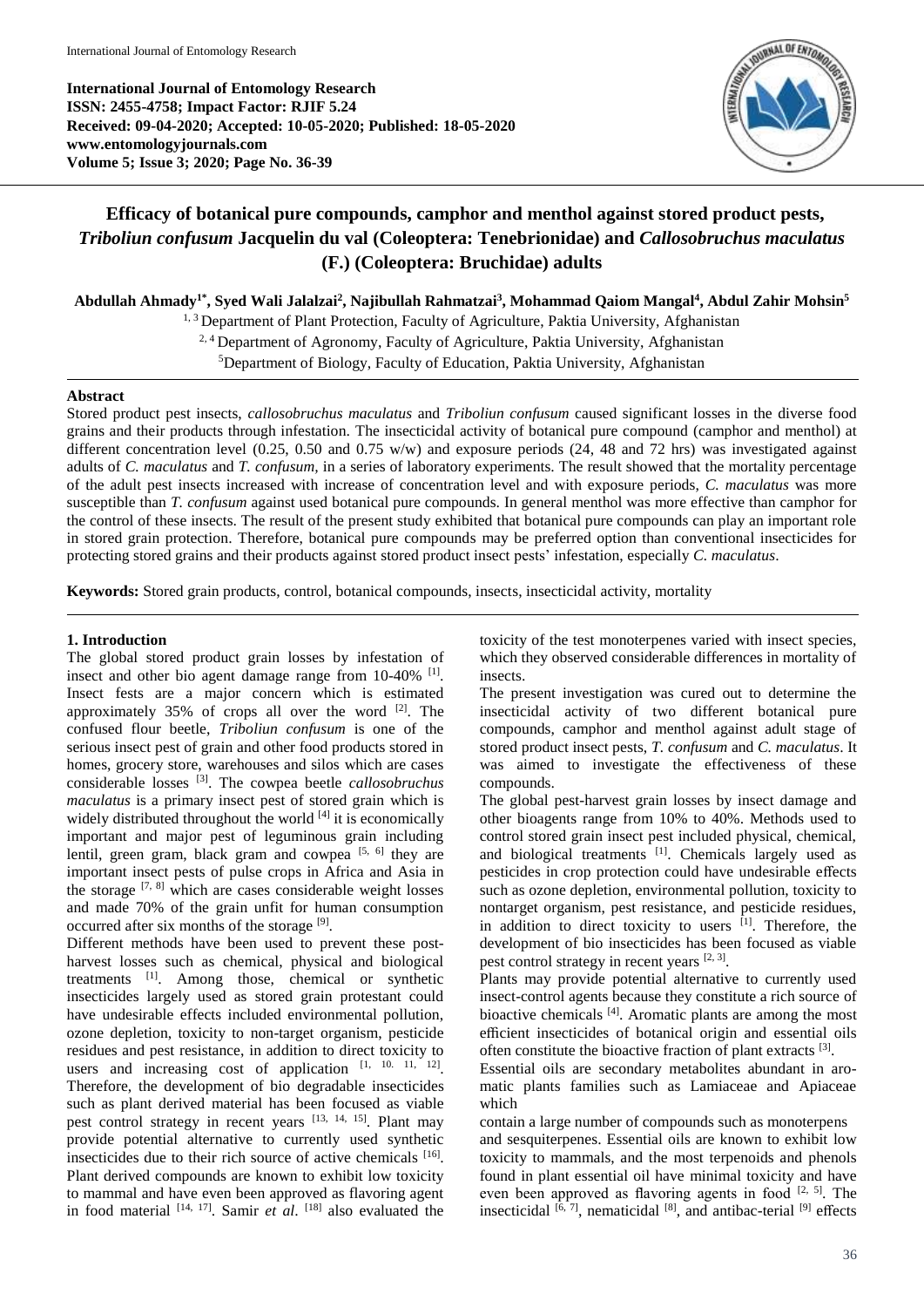**International Journal of Entomology Research ISSN: 2455-4758; Impact Factor: RJIF 5.24 Received: 09-04-2020; Accepted: 10-05-2020; Published: 18-05-2020 www.entomologyjournals.com Volume 5; Issue 3; 2020; Page No. 36-39**



# **Efficacy of botanical pure compounds, camphor and menthol against stored product pests,**  *Triboliun confusum* **Jacquelin du val (Coleoptera: Tenebrionidae) and** *Callosobruchus maculatus* **(F.) (Coleoptera: Bruchidae) adults**

**Abdullah Ahmady1\* , Syed Wali Jalalzai<sup>2</sup> , Najibullah Rahmatzai<sup>3</sup> , Mohammad Qaiom Mangal<sup>4</sup> , Abdul Zahir Mohsin<sup>5</sup>**

<sup>1, 3</sup> Department of Plant Protection, Faculty of Agriculture, Paktia University, Afghanistan <sup>2, 4</sup> Department of Agronomy, Faculty of Agriculture, Paktia University, Afghanistan

<sup>5</sup>Department of Biology, Faculty of Education, Paktia University, Afghanistan

## **Abstract**

Stored product pest insects, *callosobruchus maculatus* and *Triboliun confusum* caused significant losses in the diverse food grains and their products through infestation. The insecticidal activity of botanical pure compound (camphor and menthol) at different concentration level  $(0.25, 0.50, 0.50, 0.75, w/w)$  and exposure periods  $(24, 48, 0.72, 0.75, 0.75, 0.75, 0.75, 0.75, 0.75, 0.75, 0.75, 0.75, 0.75, 0.75, 0.75, 0.75, 0.75, 0.75, 0.75, 0.75, 0.75, 0.75, 0.75, 0.75$ adults of *C. maculatus* and *T. confusum,* in a series of laboratory experiments. The result showed that the mortality percentage of the adult pest insects increased with increase of concentration level and with exposure periods, *C. maculatus* was more susceptible than *T. confusum* against used botanical pure compounds. In general menthol was more effective than camphor for the control of these insects. The result of the present study exhibited that botanical pure compounds can play an important role in stored grain protection. Therefore, botanical pure compounds may be preferred option than conventional insecticides for protecting stored grains and their products against stored product insect pests' infestation, especially *C. maculatus*.

**Keywords:** Stored grain products, control, botanical compounds, insects, insecticidal activity, mortality

## **1. Introduction**

The global stored product grain losses by infestation of insect and other bio agent damage range from 10-40% <sup>[1]</sup>. Insect fests are a major concern which is estimated approximately  $35\%$  of crops all over the word  $^{[2]}$ . The confused flour beetle, *Triboliun confusum* is one of the serious insect pest of grain and other food products stored in homes, grocery store, warehouses and silos which are cases considerable losses [3] . The cowpea beetle *callosobruchus maculatus* is a primary insect pest of stored grain which is widely distributed throughout the world [4] it is economically important and major pest of leguminous grain including lentil, green gram, black gram and cowpea  $[5, 6]$  they are important insect pests of pulse crops in Africa and Asia in the storage [7, 8] which are cases considerable weight losses and made 70% of the grain unfit for human consumption occurred after six months of the storage [9].

Different methods have been used to prevent these postharvest losses such as chemical, physical and biological treatments [1] . Among those, chemical or synthetic insecticides largely used as stored grain protestant could have undesirable effects included environmental pollution, ozone depletion, toxicity to non-target organism, pesticide residues and pest resistance, in addition to direct toxicity to users and increasing cost of application  $[1, 10, 11, 12]$ . Therefore, the development of bio degradable insecticides such as plant derived material has been focused as viable pest control strategy in recent years [13, 14, 15]. Plant may provide potential alternative to currently used synthetic insecticides due to their rich source of active chemicals [16]. Plant derived compounds are known to exhibit low toxicity to mammal and have even been approved as flavoring agent in food material [14, 17] . Samir *et al*. [18] also evaluated the

toxicity of the test monoterpenes varied with insect species, which they observed considerable differences in mortality of insects.

The present investigation was cured out to determine the insecticidal activity of two different botanical pure compounds, camphor and menthol against adult stage of stored product insect pests, *T. confusum* and *C. maculatus*. It was aimed to investigate the effectiveness of these compounds.

The global pest-harvest grain losses by insect damage and other bioagents range from 10% to 40%. Methods used to control stored grain insect pest included physical, chemical, and biological treatments [1]. Chemicals largely used as pesticides in crop protection could have undesirable effects such as ozone depletion, environmental pollution, toxicity to nontarget organism, pest resistance, and pesticide residues, in addition to direct toxicity to users [1]. Therefore, the development of bio insecticides has been focused as viable pest control strategy in recent years  $[2, 3]$ .

Plants may provide potential alternative to currently used insect-control agents because they constitute a rich source of bioactive chemicals  $[4]$ . Aromatic plants are among the most efficient insecticides of botanical origin and essential oils often constitute the bioactive fraction of plant extracts [3].

Essential oils are secondary metabolites abundant in aromatic plants families such as Lamiaceae and Apiaceae which

contain a large number of compounds such as monoterpens and sesquiterpenes. Essential oils are known to exhibit low toxicity to mammals, and the most terpenoids and phenols found in plant essential oil have minimal toxicity and have even been approved as flavoring agents in food  $[2, 5]$ . The insecticidal  $[6, 7]$ , nematicidal  $[8]$ , and antibac-terial  $[9]$  effects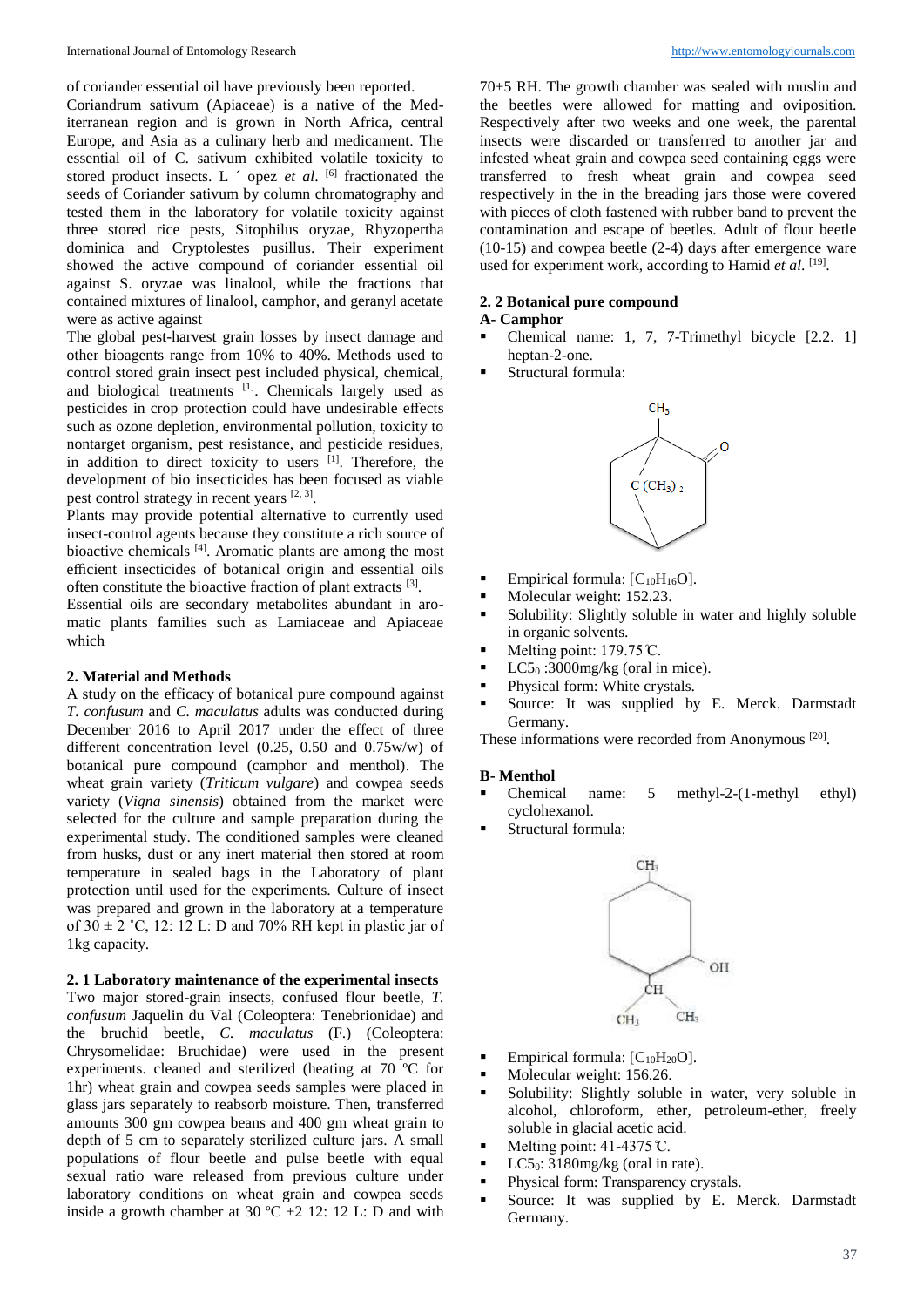of coriander essential oil have previously been reported.

Coriandrum sativum (Apiaceae) is a native of the Mediterranean region and is grown in North Africa, central Europe, and Asia as a culinary herb and medicament. The essential oil of C. sativum exhibited volatile toxicity to stored product insects. L  $\prime$  opez *et al.* <sup>[6]</sup> fractionated the seeds of Coriander sativum by column chromatography and tested them in the laboratory for volatile toxicity against three stored rice pests, Sitophilus oryzae, Rhyzopertha dominica and Cryptolestes pusillus. Their experiment showed the active compound of coriander essential oil against S. oryzae was linalool, while the fractions that contained mixtures of linalool, camphor, and geranyl acetate were as active against

The global pest-harvest grain losses by insect damage and other bioagents range from 10% to 40%. Methods used to control stored grain insect pest included physical, chemical, and biological treatments [1]. Chemicals largely used as pesticides in crop protection could have undesirable effects such as ozone depletion, environmental pollution, toxicity to nontarget organism, pest resistance, and pesticide residues, in addition to direct toxicity to users [1]. Therefore, the development of bio insecticides has been focused as viable pest control strategy in recent years [2, 3].

Plants may provide potential alternative to currently used insect-control agents because they constitute a rich source of bioactive chemicals <sup>[4]</sup>. Aromatic plants are among the most efficient insecticides of botanical origin and essential oils often constitute the bioactive fraction of plant extracts [3].

Essential oils are secondary metabolites abundant in aromatic plants families such as Lamiaceae and Apiaceae which

## **2. Material and Methods**

A study on the efficacy of botanical pure compound against *T. confusum* and *C. maculatus* adults was conducted during December 2016 to April 2017 under the effect of three different concentration level (0.25, 0.50 and 0.75w/w) of botanical pure compound (camphor and menthol). The wheat grain variety (*Triticum vulgare*) and cowpea seeds variety (*Vigna sinensis*) obtained from the market were selected for the culture and sample preparation during the experimental study. The conditioned samples were cleaned from husks, dust or any inert material then stored at room temperature in sealed bags in the Laboratory of plant protection until used for the experiments. Culture of insect was prepared and grown in the laboratory at a temperature of  $30 \pm 2$  °C, 12: 12 L: D and 70% RH kept in plastic jar of 1kg capacity.

## **2. 1 Laboratory maintenance of the experimental insects**

Two major stored-grain insects, confused flour beetle, *T. confusum* Jaquelin du Val (Coleoptera: Tenebrionidae) and the bruchid beetle, *C. maculatus* (F.) (Coleoptera: Chrysomelidae: Bruchidae) were used in the present experiments. cleaned and sterilized (heating at 70 ºC for 1hr) wheat grain and cowpea seeds samples were placed in glass jars separately to reabsorb moisture. Then, transferred amounts 300 gm cowpea beans and 400 gm wheat grain to depth of 5 cm to separately sterilized culture jars. A small populations of flour beetle and pulse beetle with equal sexual ratio ware released from previous culture under laboratory conditions on wheat grain and cowpea seeds inside a growth chamber at 30 °C  $\pm$ 2 12: 12 L: D and with  $70±5$  RH. The growth chamber was sealed with muslin and the beetles were allowed for matting and oviposition. Respectively after two weeks and one week, the parental insects were discarded or transferred to another jar and infested wheat grain and cowpea seed containing eggs were transferred to fresh wheat grain and cowpea seed respectively in the in the breading jars those were covered with pieces of cloth fastened with rubber band to prevent the contamination and escape of beetles. Adult of flour beetle (10-15) and cowpea beetle (2-4) days after emergence ware used for experiment work, according to Hamid et al. [19].

## **2. 2 Botanical pure compound**

- **A- Camphor**
- Chemical name: 1, 7, 7-Trimethyl bicycle [2.2. 1] heptan-2-one.
- Structural formula:



- Empirical formula:  $[C_{10}H_{16}O]$ .
- Molecular weight: 152.23.
- Solubility: Slightly soluble in water and highly soluble in organic solvents.
- Melting point: 179.75 °C.
- $LC5_0$ :3000mg/kg (oral in mice).<br>■ Physical form: White crystals
- Physical form: White crystals.
- Source: It was supplied by E. Merck. Darmstadt Germany.

These informations were recorded from Anonymous<sup>[20]</sup>.

- **B- Menthol** name:  $5$  methyl-2-(1-methyl ethyl) cyclohexanol.
- Structural formula:



- **Empirical formula:**  $[C_{10}H_{20}O]$ .
- Molecular weight: 156.26.
- Solubility: Slightly soluble in water, very soluble in alcohol, chloroform, ether, petroleum-ether, freely soluble in glacial acetic acid.
- $\blacksquare$  Melting point: 41-4375 °C.
- $\blacksquare$  LC5<sub>0</sub>: 3180mg/kg (oral in rate).
- Physical form: Transparency crystals.
- Source: It was supplied by E. Merck. Darmstadt Germany.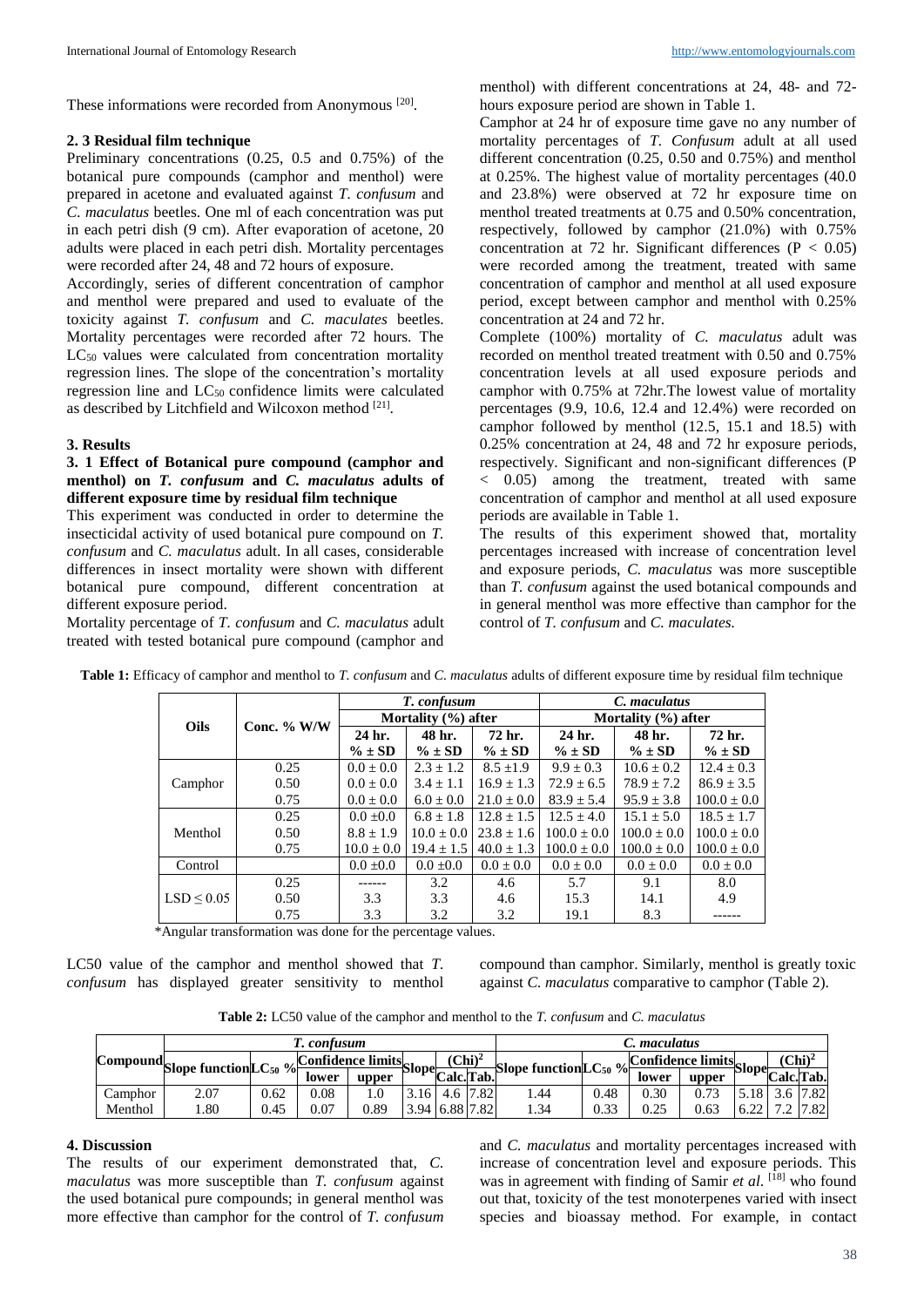These informations were recorded from Anonymous [20].

#### **2. 3 Residual film technique**

Preliminary concentrations (0.25, 0.5 and 0.75%) of the botanical pure compounds (camphor and menthol) were prepared in acetone and evaluated against *T. confusum* and *C. maculatus* beetles. One ml of each concentration was put in each petri dish (9 cm). After evaporation of acetone, 20 adults were placed in each petri dish. Mortality percentages were recorded after 24, 48 and 72 hours of exposure.

Accordingly, series of different concentration of camphor and menthol were prepared and used to evaluate of the toxicity against *T. confusum* and *C. maculates* beetles. Mortality percentages were recorded after 72 hours. The LC<sub>50</sub> values were calculated from concentration mortality regression lines. The slope of the concentration's mortality regression line and LC50 confidence limits were calculated as described by Litchfield and Wilcoxon method [21].

#### **3. Results**

### **3. 1 Effect of Botanical pure compound (camphor and menthol) on** *T. confusum* **and** *C. maculatus* **adults of different exposure time by residual film technique**

This experiment was conducted in order to determine the insecticidal activity of used botanical pure compound on *T. confusum* and *C. maculatus* adult. In all cases, considerable differences in insect mortality were shown with different botanical pure compound, different concentration at different exposure period.

Mortality percentage of *T. confusum* and *C. maculatus* adult treated with tested botanical pure compound (camphor and menthol) with different concentrations at 24, 48- and 72 hours exposure period are shown in Table 1.

Camphor at 24 hr of exposure time gave no any number of mortality percentages of *T. Confusum* adult at all used different concentration (0.25, 0.50 and 0.75%) and menthol at 0.25%. The highest value of mortality percentages (40.0 and 23.8%) were observed at 72 hr exposure time on menthol treated treatments at 0.75 and 0.50% concentration, respectively, followed by camphor (21.0%) with 0.75% concentration at 72 hr. Significant differences ( $P < 0.05$ ) were recorded among the treatment, treated with same concentration of camphor and menthol at all used exposure period, except between camphor and menthol with 0.25% concentration at 24 and 72 hr.

Complete (100%) mortality of *C. maculatus* adult was recorded on menthol treated treatment with 0.50 and 0.75% concentration levels at all used exposure periods and camphor with 0.75% at 72hr.The lowest value of mortality percentages (9.9, 10.6, 12.4 and 12.4%) were recorded on camphor followed by menthol (12.5, 15.1 and 18.5) with 0.25% concentration at 24, 48 and 72 hr exposure periods, respectively. Significant and non-significant differences (P < 0.05) among the treatment, treated with same concentration of camphor and menthol at all used exposure periods are available in Table 1.

The results of this experiment showed that, mortality percentages increased with increase of concentration level and exposure periods, *C. maculatus* was more susceptible than *T. confusum* against the used botanical compounds and in general menthol was more effective than camphor for the control of *T. confusum* and *C. maculates.*

|            | Conc. $%$ W/W |                  | T. confusum             |                | C. maculatus            |                 |                 |  |  |  |
|------------|---------------|------------------|-------------------------|----------------|-------------------------|-----------------|-----------------|--|--|--|
| Oils       |               |                  | Mortality $(\% )$ after |                | Mortality $(\% )$ after |                 |                 |  |  |  |
|            |               | 24 hr.<br>48 hr. |                         | 72 hr.         | 24 hr.                  | 48 hr.          | 72 hr.          |  |  |  |
|            |               | $\% \pm SD$      | $\% \pm SD$             | $\% \pm SD$    | $\% \pm SD$             | $\% \pm SD$     | $\% \pm SD$     |  |  |  |
| Camphor    | 0.25          | $0.0 \pm 0.0$    | $2.3 \pm 1.2$           | $8.5 \pm 1.9$  | $9.9 + 0.3$             | $10.6 \pm 0.2$  | $12.4 + 0.3$    |  |  |  |
|            | 0.50          | $0.0 \pm 0.0$    | $3.4 \pm 1.1$           | $16.9 \pm 1.3$ | $72.9 \pm 6.5$          | $78.9 \pm 7.2$  | $86.9 \pm 3.5$  |  |  |  |
|            | 0.75          | $0.0 \pm 0.0$    | $6.0 \pm 0.0$           | $21.0 \pm 0.0$ | $83.9 \pm 5.4$          | $95.9 \pm 3.8$  | $100.0 \pm 0.0$ |  |  |  |
| Menthol    | 0.25          | $0.0 \pm 0.0$    | $6.8 \pm 1.8$           | $12.8 \pm 1.5$ | $12.5 + 4.0$            | $15.1 \pm 5.0$  | $18.5 \pm 1.7$  |  |  |  |
|            | 0.50          | $8.8 \pm 1.9$    | $10.0 \pm 0.0$          | $23.8 + 1.6$   | $100.0 + 0.0$           | $100.0 \pm 0.0$ | $100.0 + 0.0$   |  |  |  |
|            | 0.75          | $10.0 \pm 0.0$   | $19.4 \pm 1.5$          | $40.0 \pm 1.3$ | $100.0 \pm 0.0$         | $100.0 \pm 0.0$ | $100.0 \pm 0.0$ |  |  |  |
| Control    |               | $0.0 \pm 0.0$    | $0.0 \pm 0.0$           | $0.0 \pm 0.0$  | $0.0 + 0.0$             | $0.0 + 0.0$     | $0.0 \pm 0.0$   |  |  |  |
| LSD < 0.05 | 0.25          |                  | 3.2                     | 4.6            | 5.7                     | 9.1             | 8.0             |  |  |  |
|            | 0.50          | 3.3              | 3.3                     | 4.6            | 15.3                    | 14.1            | 4.9             |  |  |  |
|            | 0.75          | 3.3              | 3.2                     | 3.2            | 19.1                    | 8.3             |                 |  |  |  |

**Table 1:** Efficacy of camphor and menthol to *T. confusum* and *C. maculatus* adults of different exposure time by residual film technique

\*Angular transformation was done for the percentage values.

LC50 value of the camphor and menthol showed that *T. confusum* has displayed greater sensitivity to menthol compound than camphor. Similarly, menthol is greatly toxic against *C. maculatus* comparative to camphor (Table 2).

**Table 2:** LC50 value of the camphor and menthol to the *T. confusum* and *C. maculatus*

|                                     | '. confusum |      |                     |       |                                 |                    |      | C. maculatus               |      |                                            |       |                                                                   |           |          |
|-------------------------------------|-------------|------|---------------------|-------|---------------------------------|--------------------|------|----------------------------|------|--------------------------------------------|-------|-------------------------------------------------------------------|-----------|----------|
| Compound Slope function $LC_{50}$ % |             |      | $Confidence$ limits |       |                                 | (Chi) <sup>2</sup> |      | Slope function $LC_{50}$ % |      | $\mathbf{\text{Confidence limits}}_{\sim}$ |       |                                                                   | $(Chi)^2$ |          |
|                                     |             |      | lower               | upper | Slope                           | <i>Calc.Tab.</i>   |      |                            |      | lower                                      | upper | $\overline{\qquad \qquad }$ Slope $\overline{\text{Calc}}$ . Tab. |           |          |
| Camphor                             | 2.07        | 0.62 | 0.08                | 1.0   | 3.16                            | 4.6                | '.82 | 44.ء                       | 0.48 | 0.30                                       | 0.73  | 5.18                                                              |           | 3.6 7.82 |
| Menthol                             | .80         | 0.45 | 0.07                | 0.89  | $3.94 \mid 6.88 \mid 7.82 \mid$ |                    |      | .34                        | 0.33 | 0.25                                       | 0.63  | 6.22                                                              |           | 7.2 7.82 |

## **4. Discussion**

The results of our experiment demonstrated that, *C. maculatus* was more susceptible than *T. confusum* against the used botanical pure compounds; in general menthol was more effective than camphor for the control of *T. confusum* 

and *C. maculatus* and mortality percentages increased with increase of concentration level and exposure periods. This was in agreement with finding of Samir et al. [18] who found out that, toxicity of the test monoterpenes varied with insect species and bioassay method. For example, in contact